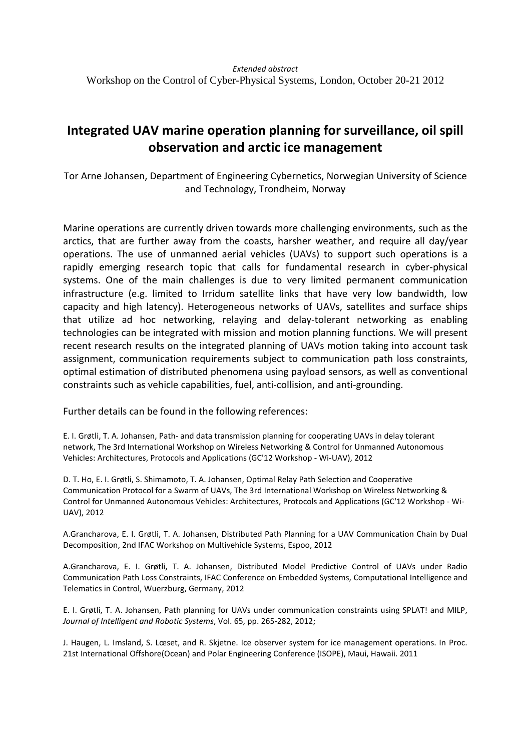## **Integrated UAV marine operation planning for surveillance, oil spill observation and arctic ice management**

Tor Arne Johansen, Department of Engineering Cybernetics, Norwegian University of Science and Technology, Trondheim, Norway

Marine operations are currently driven towards more challenging environments, such as the arctics, that are further away from the coasts, harsher weather, and require all day/year operations. The use of unmanned aerial vehicles (UAVs) to support such operations is a rapidly emerging research topic that calls for fundamental research in cyber-physical systems. One of the main challenges is due to very limited permanent communication infrastructure (e.g. limited to Irridum satellite links that have very low bandwidth, low capacity and high latency). Heterogeneous networks of UAVs, satellites and surface ships that utilize ad hoc networking, relaying and delay-tolerant networking as enabling technologies can be integrated with mission and motion planning functions. We will present recent research results on the integrated planning of UAVs motion taking into account task assignment, communication requirements subject to communication path loss constraints, optimal estimation of distributed phenomena using payload sensors, as well as conventional constraints such as vehicle capabilities, fuel, anti-collision, and anti-grounding.

Further details can be found in the following references:

E. I. Grøtli, T. A. Johansen, Path- and data transmission planning for cooperating UAVs in delay tolerant network, The 3rd International Workshop on Wireless Networking & Control for Unmanned Autonomous Vehicles: Architectures, Protocols and Applications (GC'12 Workshop - Wi-UAV), 2012

D. T. Ho, E. I. Grøtli, S. Shimamoto, T. A. Johansen, Optimal Relay Path Selection and Cooperative Communication Protocol for a Swarm of UAVs, The 3rd International Workshop on Wireless Networking & Control for Unmanned Autonomous Vehicles: Architectures, Protocols and Applications (GC'12 Workshop - Wi-UAV), 2012

A.Grancharova, E. I. Grøtli, T. A. Johansen, Distributed Path Planning for a UAV Communication Chain by Dual Decomposition, 2nd IFAC Workshop on Multivehicle Systems, Espoo, 2012

A.Grancharova, E. I. Grøtli, T. A. Johansen, Distributed Model Predictive Control of UAVs under Radio Communication Path Loss Constraints, IFAC Conference on Embedded Systems, Computational Intelligence and Telematics in Control, Wuerzburg, Germany, 2012

E. I. Grøtli, T. A. Johansen, Path planning for UAVs under communication constraints using SPLAT! and MILP, *Journal of Intelligent and Robotic Systems*, Vol. 65, pp. 265-282, 2012;

J. Haugen, L. Imsland, S. Lœset, and R. Skjetne. Ice observer system for ice management operations. In Proc. 21st International Offshore(Ocean) and Polar Engineering Conference (ISOPE), Maui, Hawaii. 2011